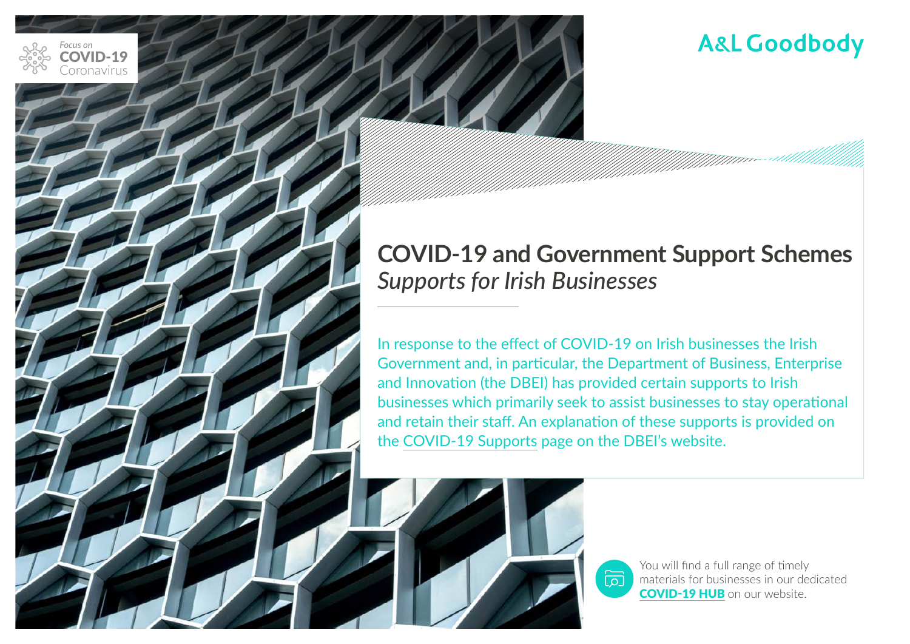

### **COVID-19 and Government Support Schemes** *Supports for Irish Businesses*

In response to the effect of COVID-19 on Irish businesses the Irish Government and, in particular, the Department of Business, Enterprise and Innovation (the DBEI) has provided certain supports to Irish businesses which primarily seek to assist businesses to stay operational and retain their staff. An explanation of these supports is provided on the [COVID-19 Supports](http://r.news.cro.ie/mk/cl/f/bAdnPUwekTxALqN5V9dm1fnc3XTsuzO_K1ah69srdtHYTMPOMEWaUobJ75qET8MRX9Ra2tA6I3EEtoTyNG0_HQ_2tiz0ENcPves15wlFpj_x-GWFBLwwrjoTLrMWs5gMoCCzvZuh3TmzYPd1vcJiEXca45Mh7KFTxO7UHC8BHMReF1kwTUfBviMsas9QscF53pWM3jGULl-er7vZ8ZsVD3J5rwBL) page on the DBEI's website.





You will find a full range of timely materials for businesses in our dedicated [COVID-19 HUB](https://www.algoodbody.com/covid-19-coronavirus-hub) on our website.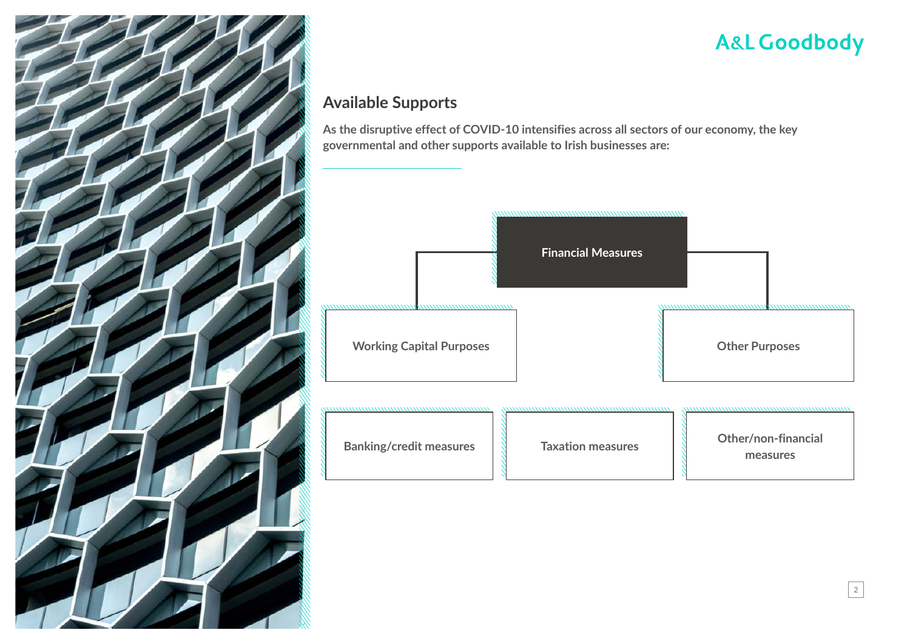

2

### **Available Supports**

**As the disruptive effect of COVID-10 intensifies across all sectors of our economy, the key governmental and other supports available to Irish businesses are:**

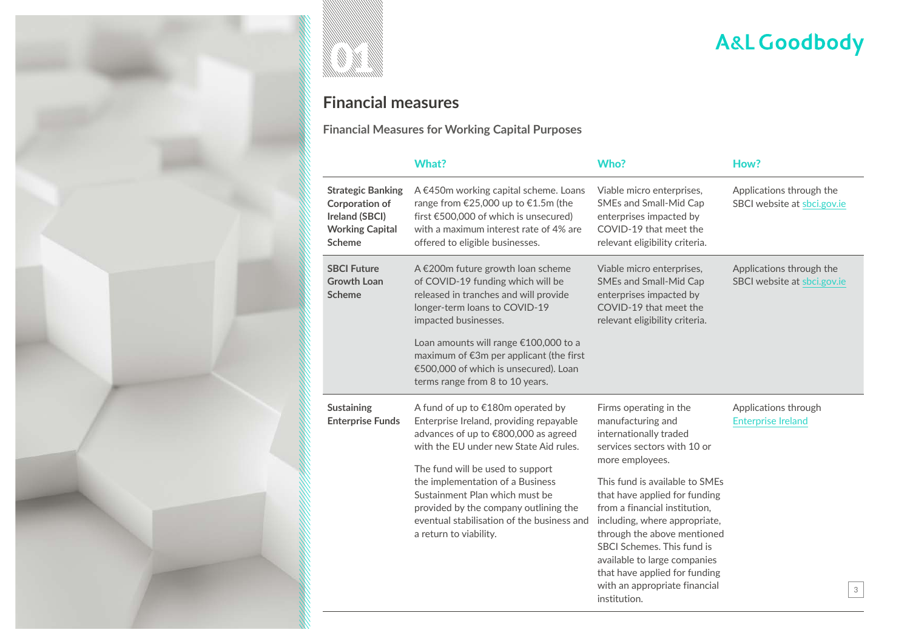



### **Financial measures**

**Financial Measures for Working Capital Purposes** 

|                                                                                                                | <b>What?</b>                                                                                                                                                                                                                                                                                                                                                                              | Who?                                                                                                                                                                                                                                                                                                                                                                                                                                        | How?                                                    |
|----------------------------------------------------------------------------------------------------------------|-------------------------------------------------------------------------------------------------------------------------------------------------------------------------------------------------------------------------------------------------------------------------------------------------------------------------------------------------------------------------------------------|---------------------------------------------------------------------------------------------------------------------------------------------------------------------------------------------------------------------------------------------------------------------------------------------------------------------------------------------------------------------------------------------------------------------------------------------|---------------------------------------------------------|
| <b>Strategic Banking</b><br><b>Corporation of</b><br>Ireland (SBCI)<br><b>Working Capital</b><br><b>Scheme</b> | A €450m working capital scheme. Loans<br>range from €25,000 up to €1.5m (the<br>first $\epsilon$ 500,000 of which is unsecured)<br>with a maximum interest rate of 4% are<br>offered to eligible businesses.                                                                                                                                                                              | Viable micro enterprises,<br><b>SMEs and Small-Mid Cap</b><br>enterprises impacted by<br>COVID-19 that meet the<br>relevant eligibility criteria.                                                                                                                                                                                                                                                                                           | Applications through the<br>SBCI website at sbci.gov.ie |
| <b>SBCI Future</b><br><b>Growth Loan</b><br><b>Scheme</b>                                                      | A €200m future growth loan scheme<br>of COVID-19 funding which will be<br>released in tranches and will provide<br>longer-term loans to COVID-19<br>impacted businesses.<br>Loan amounts will range €100,000 to a<br>maximum of €3m per applicant (the first<br>€500,000 of which is unsecured). Loan<br>terms range from 8 to 10 years.                                                  | Viable micro enterprises,<br>SMEs and Small-Mid Cap<br>enterprises impacted by<br>COVID-19 that meet the<br>relevant eligibility criteria.                                                                                                                                                                                                                                                                                                  | Applications through the<br>SBCI website at sbci.gov.ie |
| <b>Sustaining</b><br><b>Enterprise Funds</b>                                                                   | A fund of up to €180m operated by<br>Enterprise Ireland, providing repayable<br>advances of up to €800,000 as agreed<br>with the EU under new State Aid rules.<br>The fund will be used to support<br>the implementation of a Business<br>Sustainment Plan which must be<br>provided by the company outlining the<br>eventual stabilisation of the business and<br>a return to viability. | Firms operating in the<br>manufacturing and<br>internationally traded<br>services sectors with 10 or<br>more employees.<br>This fund is available to SMEs<br>that have applied for funding<br>from a financial institution,<br>including, where appropriate,<br>through the above mentioned<br>SBCI Schemes. This fund is<br>available to large companies<br>that have applied for funding<br>with an appropriate financial<br>institution. | Applications through<br><b>Enterprise Ireland</b><br>3  |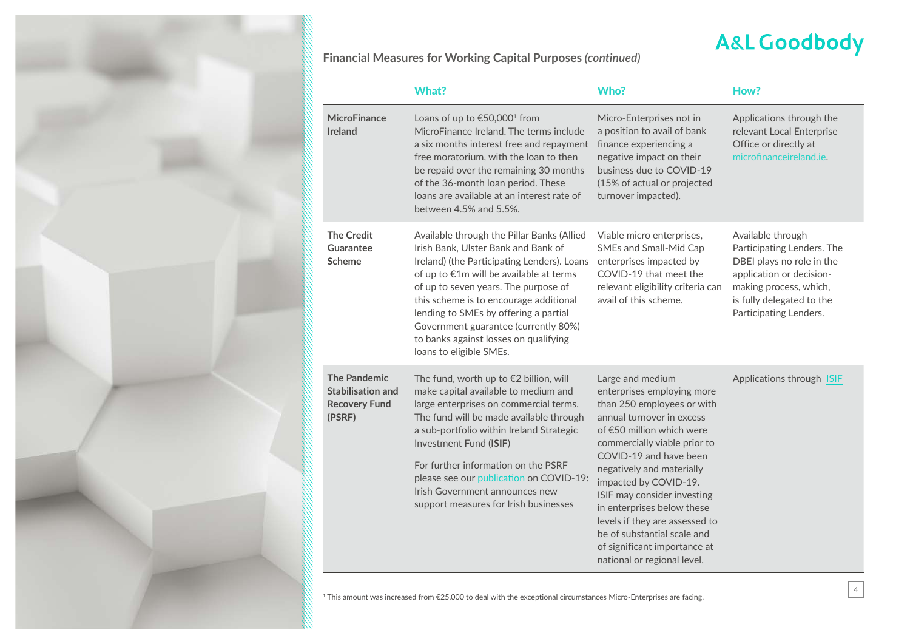4

**Financial Measures for Working Capital Purposes** *(continued)*

|                                                                            | <b>What?</b>                                                                                                                                                                                                                                                                                                                                                                                                       | Who?                                                                                                                                                                                                                                                                                                                                                                                                                                                | How?                                                                                                                                                                                      |
|----------------------------------------------------------------------------|--------------------------------------------------------------------------------------------------------------------------------------------------------------------------------------------------------------------------------------------------------------------------------------------------------------------------------------------------------------------------------------------------------------------|-----------------------------------------------------------------------------------------------------------------------------------------------------------------------------------------------------------------------------------------------------------------------------------------------------------------------------------------------------------------------------------------------------------------------------------------------------|-------------------------------------------------------------------------------------------------------------------------------------------------------------------------------------------|
| <b>MicroFinance</b><br><b>Ireland</b>                                      | Loans of up to €50,000 <sup>1</sup> from<br>MicroFinance Ireland. The terms include<br>a six months interest free and repayment<br>free moratorium, with the loan to then<br>be repaid over the remaining 30 months<br>of the 36-month loan period. These<br>loans are available at an interest rate of<br>between 4.5% and 5.5%.                                                                                  | Micro-Enterprises not in<br>a position to avail of bank<br>finance experiencing a<br>negative impact on their<br>business due to COVID-19<br>(15% of actual or projected<br>turnover impacted).                                                                                                                                                                                                                                                     | Applications through the<br>relevant Local Enterprise<br>Office or directly at<br>microfinanceireland.ie.                                                                                 |
| <b>The Credit</b><br>Guarantee<br><b>Scheme</b>                            | Available through the Pillar Banks (Allied<br>Irish Bank, Ulster Bank and Bank of<br>Ireland) (the Participating Lenders). Loans<br>of up to €1m will be available at terms<br>of up to seven years. The purpose of<br>this scheme is to encourage additional<br>lending to SMEs by offering a partial<br>Government guarantee (currently 80%)<br>to banks against losses on qualifying<br>loans to eligible SMEs. | Viable micro enterprises,<br>SMEs and Small-Mid Cap<br>enterprises impacted by<br>COVID-19 that meet the<br>relevant eligibility criteria can<br>avail of this scheme.                                                                                                                                                                                                                                                                              | Available through<br>Participating Lenders. The<br>DBEI plays no role in the<br>application or decision-<br>making process, which,<br>is fully delegated to the<br>Participating Lenders. |
| The Pandemic<br><b>Stabilisation and</b><br><b>Recovery Fund</b><br>(PSRF) | The fund, worth up to $E$ 2 billion, will<br>make capital available to medium and<br>large enterprises on commercial terms.<br>The fund will be made available through<br>a sub-portfolio within Ireland Strategic<br>Investment Fund (ISIF)<br>For further information on the PSRF<br>please see our publication on COVID-19:<br>Irish Government announces new<br>support measures for Irish businesses          | Large and medium<br>enterprises employing more<br>than 250 employees or with<br>annual turnover in excess<br>of €50 million which were<br>commercially viable prior to<br>COVID-19 and have been<br>negatively and materially<br>impacted by COVID-19.<br>ISIF may consider investing<br>in enterprises below these<br>levels if they are assessed to<br>be of substantial scale and<br>of significant importance at<br>national or regional level. | Applications through ISIF                                                                                                                                                                 |

1 This amount was increased from €25,000 to deal with the exceptional circumstances Micro-Enterprises are facing.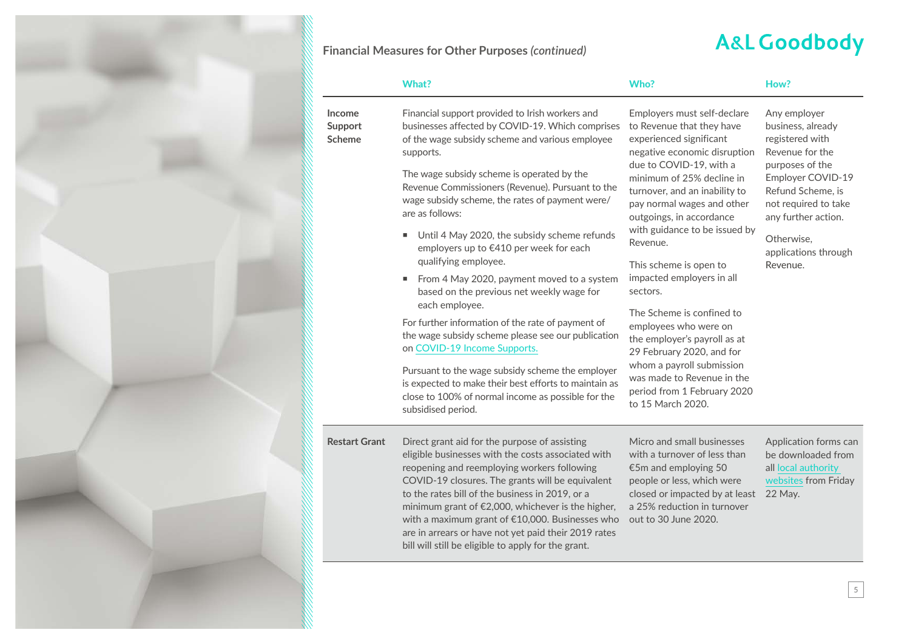

### **A&L Goodbody**

|                                    | <b>What?</b>                                                                                                                                                                                                                                                                                                                                                                                                                                                                                                                                                                                                                                                                                                                                                                                                                                                                                                        | Who?                                                                                                                                                                                                                                                                                                                                                                                                                                                                                                                                                                                                                     | How?                                                                                                                                                                                                                                  |
|------------------------------------|---------------------------------------------------------------------------------------------------------------------------------------------------------------------------------------------------------------------------------------------------------------------------------------------------------------------------------------------------------------------------------------------------------------------------------------------------------------------------------------------------------------------------------------------------------------------------------------------------------------------------------------------------------------------------------------------------------------------------------------------------------------------------------------------------------------------------------------------------------------------------------------------------------------------|--------------------------------------------------------------------------------------------------------------------------------------------------------------------------------------------------------------------------------------------------------------------------------------------------------------------------------------------------------------------------------------------------------------------------------------------------------------------------------------------------------------------------------------------------------------------------------------------------------------------------|---------------------------------------------------------------------------------------------------------------------------------------------------------------------------------------------------------------------------------------|
| Income<br>Support<br><b>Scheme</b> | Financial support provided to Irish workers and<br>businesses affected by COVID-19. Which comprises<br>of the wage subsidy scheme and various employee<br>supports.<br>The wage subsidy scheme is operated by the<br>Revenue Commissioners (Revenue). Pursuant to the<br>wage subsidy scheme, the rates of payment were/<br>are as follows:<br>Until 4 May 2020, the subsidy scheme refunds<br>٠<br>employers up to €410 per week for each<br>qualifying employee.<br>From 4 May 2020, payment moved to a system<br>based on the previous net weekly wage for<br>each employee.<br>For further information of the rate of payment of<br>the wage subsidy scheme please see our publication<br>on COVID-19 Income Supports.<br>Pursuant to the wage subsidy scheme the employer<br>is expected to make their best efforts to maintain as<br>close to 100% of normal income as possible for the<br>subsidised period. | Employers must self-declare<br>to Revenue that they have<br>experienced significant<br>negative economic disruption<br>due to COVID-19, with a<br>minimum of 25% decline in<br>turnover, and an inability to<br>pay normal wages and other<br>outgoings, in accordance<br>with guidance to be issued by<br>Revenue.<br>This scheme is open to<br>impacted employers in all<br>sectors.<br>The Scheme is confined to<br>employees who were on<br>the employer's payroll as at<br>29 February 2020, and for<br>whom a payroll submission<br>was made to Revenue in the<br>period from 1 February 2020<br>to 15 March 2020. | Any employer<br>business, already<br>registered with<br>Revenue for the<br>purposes of the<br>Employer COVID-19<br>Refund Scheme, is<br>not required to take<br>any further action.<br>Otherwise,<br>applications through<br>Revenue. |
| <b>Restart Grant</b>               | Direct grant aid for the purpose of assisting<br>eligible businesses with the costs associated with<br>reopening and reemploying workers following<br>COVID-19 closures. The grants will be equivalent<br>to the rates bill of the business in 2019, or a<br>minimum grant of €2,000, whichever is the higher,                                                                                                                                                                                                                                                                                                                                                                                                                                                                                                                                                                                                      | Micro and small businesses<br>with a turnover of less than<br>€5m and employing 50<br>people or less, which were<br>closed or impacted by at least<br>a 25% reduction in turnover                                                                                                                                                                                                                                                                                                                                                                                                                                        | Application forms can<br>be downloaded from<br>all local authority<br>websites from Friday<br>22 May.                                                                                                                                 |

with a maximum grant of €10,000. Businesses who out to 30 June 2020.

are in arrears or have not yet paid their 2019 rates bill will still be eligible to apply for the grant.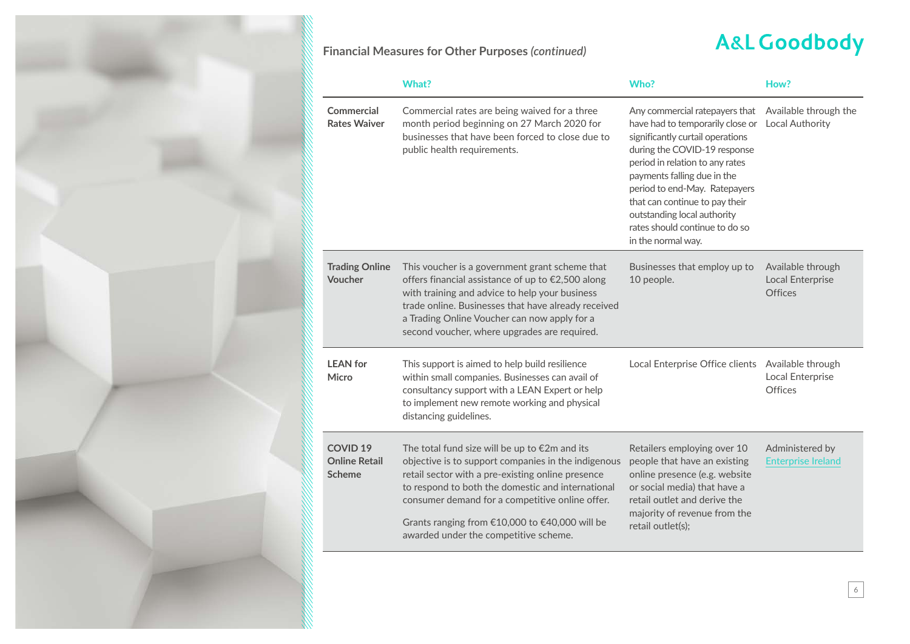

### **A&L Goodbody**

|                                                          | <b>What?</b>                                                                                                                                                                                                                                                                                                                                                           | Who?                                                                                                                                                                                                                                                                                                                                                               | How?                                                           |
|----------------------------------------------------------|------------------------------------------------------------------------------------------------------------------------------------------------------------------------------------------------------------------------------------------------------------------------------------------------------------------------------------------------------------------------|--------------------------------------------------------------------------------------------------------------------------------------------------------------------------------------------------------------------------------------------------------------------------------------------------------------------------------------------------------------------|----------------------------------------------------------------|
| <b>Commercial</b><br><b>Rates Waiver</b>                 | Commercial rates are being waived for a three<br>month period beginning on 27 March 2020 for<br>businesses that have been forced to close due to<br>public health requirements.                                                                                                                                                                                        | Any commercial ratepayers that<br>have had to temporarily close or<br>significantly curtail operations<br>during the COVID-19 response<br>period in relation to any rates<br>payments falling due in the<br>period to end-May. Ratepayers<br>that can continue to pay their<br>outstanding local authority<br>rates should continue to do so<br>in the normal way. | Available through the<br><b>Local Authority</b>                |
| <b>Trading Online</b><br>Voucher                         | This voucher is a government grant scheme that<br>offers financial assistance of up to €2,500 along<br>with training and advice to help your business<br>trade online. Businesses that have already received<br>a Trading Online Voucher can now apply for a<br>second voucher, where upgrades are required.                                                           | Businesses that employ up to<br>10 people.                                                                                                                                                                                                                                                                                                                         | Available through<br><b>Local Enterprise</b><br><b>Offices</b> |
| <b>LEAN</b> for<br>Micro                                 | This support is aimed to help build resilience<br>within small companies. Businesses can avail of<br>consultancy support with a LEAN Expert or help<br>to implement new remote working and physical<br>distancing guidelines.                                                                                                                                          | Local Enterprise Office clients Available through                                                                                                                                                                                                                                                                                                                  | Local Enterprise<br>Offices                                    |
| <b>COVID 19</b><br><b>Online Retail</b><br><b>Scheme</b> | The total fund size will be up to $\epsilon$ 2m and its<br>objective is to support companies in the indigenous<br>retail sector with a pre-existing online presence<br>to respond to both the domestic and international<br>consumer demand for a competitive online offer.<br>Grants ranging from €10,000 to €40,000 will be<br>awarded under the competitive scheme. | Retailers employing over 10<br>people that have an existing<br>online presence (e.g. website<br>or social media) that have a<br>retail outlet and derive the<br>majority of revenue from the<br>retail outlet(s);                                                                                                                                                  | Administered by<br><b>Enterprise Ireland</b>                   |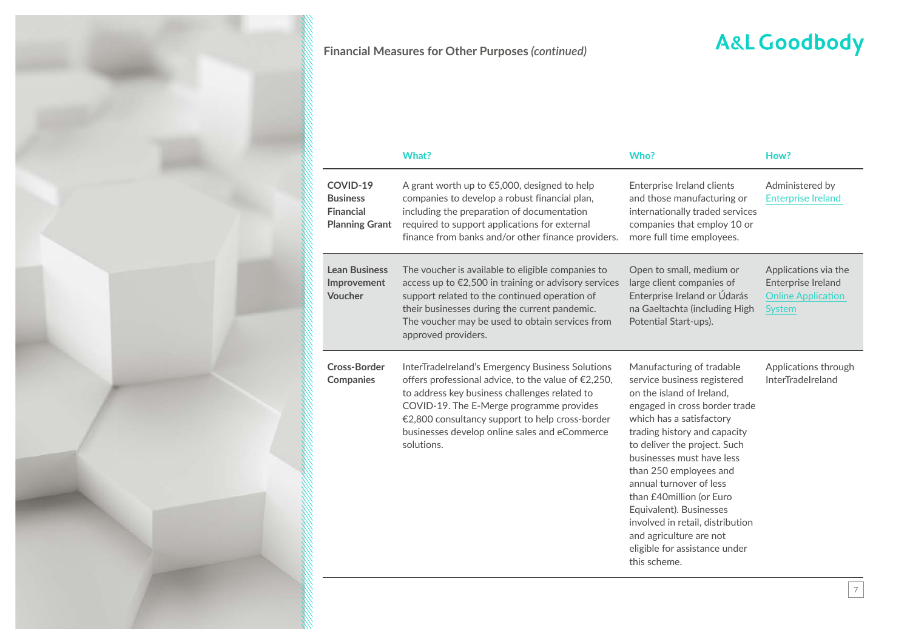

## **A&L Goodbody**

|                                                                          | <b>What?</b>                                                                                                                                                                                                                                                                                                           | Who?                                                                                                                                                                                                                                                                                                                                                                                                                                                                        | How?                                                                                     |
|--------------------------------------------------------------------------|------------------------------------------------------------------------------------------------------------------------------------------------------------------------------------------------------------------------------------------------------------------------------------------------------------------------|-----------------------------------------------------------------------------------------------------------------------------------------------------------------------------------------------------------------------------------------------------------------------------------------------------------------------------------------------------------------------------------------------------------------------------------------------------------------------------|------------------------------------------------------------------------------------------|
| COVID-19<br><b>Business</b><br><b>Financial</b><br><b>Planning Grant</b> | A grant worth up to $\epsilon$ 5,000, designed to help<br>companies to develop a robust financial plan,<br>including the preparation of documentation<br>required to support applications for external<br>finance from banks and/or other finance providers.                                                           | Enterprise Ireland clients<br>and those manufacturing or<br>internationally traded services<br>companies that employ 10 or<br>more full time employees.                                                                                                                                                                                                                                                                                                                     | Administered by<br><b>Enterprise Ireland</b>                                             |
| <b>Lean Business</b><br>Improvement<br>Voucher                           | The voucher is available to eligible companies to<br>access up to €2,500 in training or advisory services<br>support related to the continued operation of<br>their businesses during the current pandemic.<br>The voucher may be used to obtain services from<br>approved providers.                                  | Open to small, medium or<br>large client companies of<br>Enterprise Ireland or Údarás<br>na Gaeltachta (including High<br>Potential Start-ups).                                                                                                                                                                                                                                                                                                                             | Applications via the<br>Enterprise Ireland<br><b>Online Application</b><br><b>System</b> |
| Cross-Border<br><b>Companies</b>                                         | InterTradeIreland's Emergency Business Solutions<br>offers professional advice, to the value of €2,250,<br>to address key business challenges related to<br>COVID-19. The E-Merge programme provides<br>€2,800 consultancy support to help cross-border<br>businesses develop online sales and eCommerce<br>solutions. | Manufacturing of tradable<br>service business registered<br>on the island of Ireland,<br>engaged in cross border trade<br>which has a satisfactory<br>trading history and capacity<br>to deliver the project. Such<br>businesses must have less<br>than 250 employees and<br>annual turnover of less<br>than £40million (or Euro<br>Equivalent). Businesses<br>involved in retail, distribution<br>and agriculture are not<br>eligible for assistance under<br>this scheme. | Applications through<br><b>InterTradeIreland</b>                                         |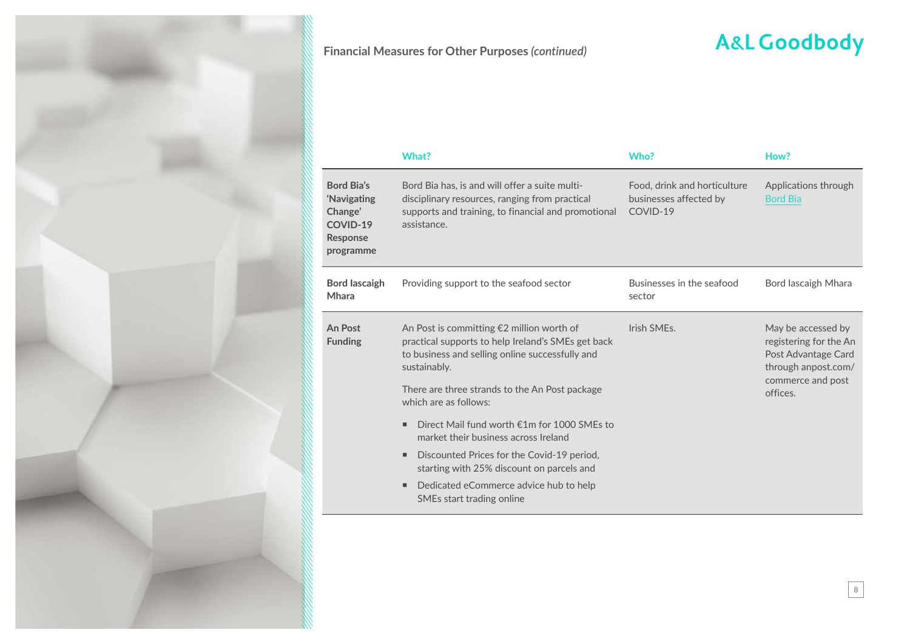

# **A&L Goodbody**

|                                                                           | What?                                                                                                                                                                                                                                                                                                                                                                                                                                       | Who?                                                               | How?                                                                                                                        |
|---------------------------------------------------------------------------|---------------------------------------------------------------------------------------------------------------------------------------------------------------------------------------------------------------------------------------------------------------------------------------------------------------------------------------------------------------------------------------------------------------------------------------------|--------------------------------------------------------------------|-----------------------------------------------------------------------------------------------------------------------------|
| Bord Bia's<br>'Navigating<br>Change'<br>COVID-19<br>Response<br>programme | Bord Bia has, is and will offer a suite multi-<br>disciplinary resources, ranging from practical<br>supports and training, to financial and promotional<br>assistance.                                                                                                                                                                                                                                                                      | Food, drink and horticulture<br>businesses affected by<br>COVID-19 | Applications through<br><b>Bord Bia</b>                                                                                     |
| <b>Bord lascaigh</b><br>Mhara                                             | Providing support to the seafood sector                                                                                                                                                                                                                                                                                                                                                                                                     | Businesses in the seafood<br>sector                                | Bord lascaigh Mhara                                                                                                         |
| <b>An Post</b><br><b>Funding</b>                                          | An Post is committing $E2$ million worth of<br>practical supports to help Ireland's SMEs get back<br>to business and selling online successfully and<br>sustainably.<br>There are three strands to the An Post package<br>which are as follows:<br>Direct Mail fund worth €1m for 1000 SMEs to<br>٠<br>market their business across Ireland<br>Discounted Prices for the Covid-19 period,<br>٠<br>starting with 25% discount on parcels and | Irish SMEs.                                                        | May be accessed by<br>registering for the An<br>Post Advantage Card<br>through anpost.com/<br>commerce and post<br>offices. |
|                                                                           | Dedicated eCommerce advice hub to help<br>٠<br>SMEs start trading online                                                                                                                                                                                                                                                                                                                                                                    |                                                                    |                                                                                                                             |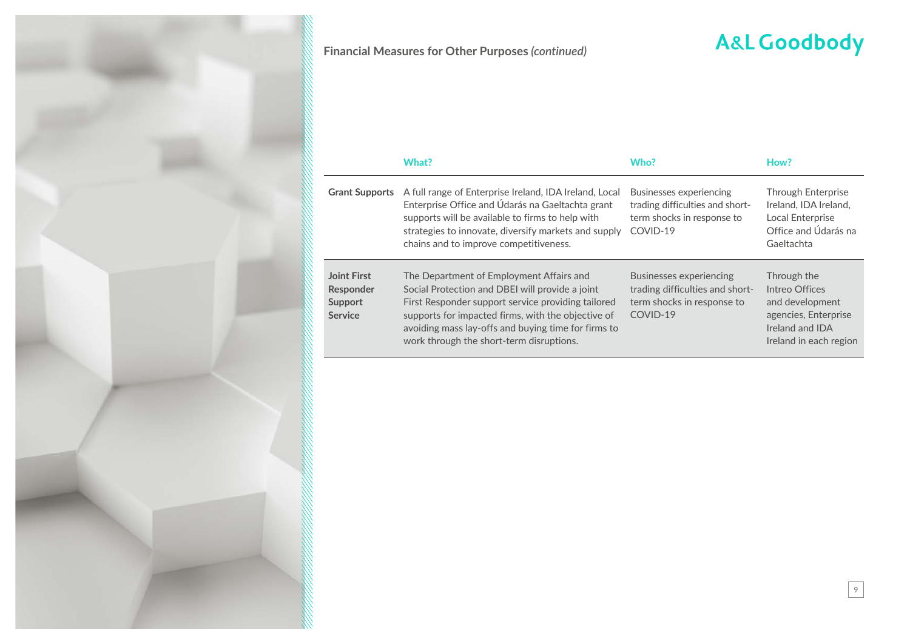

## **A&L Goodbody**

|                                                                     | What?                                                                                                                                                                                                                                                                                                      | Who?                                                                                                        | How?                                                                                                                  |
|---------------------------------------------------------------------|------------------------------------------------------------------------------------------------------------------------------------------------------------------------------------------------------------------------------------------------------------------------------------------------------------|-------------------------------------------------------------------------------------------------------------|-----------------------------------------------------------------------------------------------------------------------|
| <b>Grant Supports</b>                                               | A full range of Enterprise Ireland, IDA Ireland, Local<br>Enterprise Office and Údarás na Gaeltachta grant<br>supports will be available to firms to help with<br>strategies to innovate, diversify markets and supply<br>chains and to improve competitiveness.                                           | Businesses experiencing<br>trading difficulties and short-<br>term shocks in response to<br>COVID-19        | Through Enterprise<br>Ireland, IDA Ireland,<br>Local Enterprise<br>Office and Údarás na<br>Gaeltachta                 |
| <b>Joint First</b><br>Responder<br><b>Support</b><br><b>Service</b> | The Department of Employment Affairs and<br>Social Protection and DBEI will provide a joint<br>First Responder support service providing tailored<br>supports for impacted firms, with the objective of<br>avoiding mass lay-offs and buying time for firms to<br>work through the short-term disruptions. | <b>Businesses experiencing</b><br>trading difficulties and short-<br>term shocks in response to<br>COVID-19 | Through the<br>Intreo Offices<br>and development<br>agencies, Enterprise<br>Ireland and IDA<br>Ireland in each region |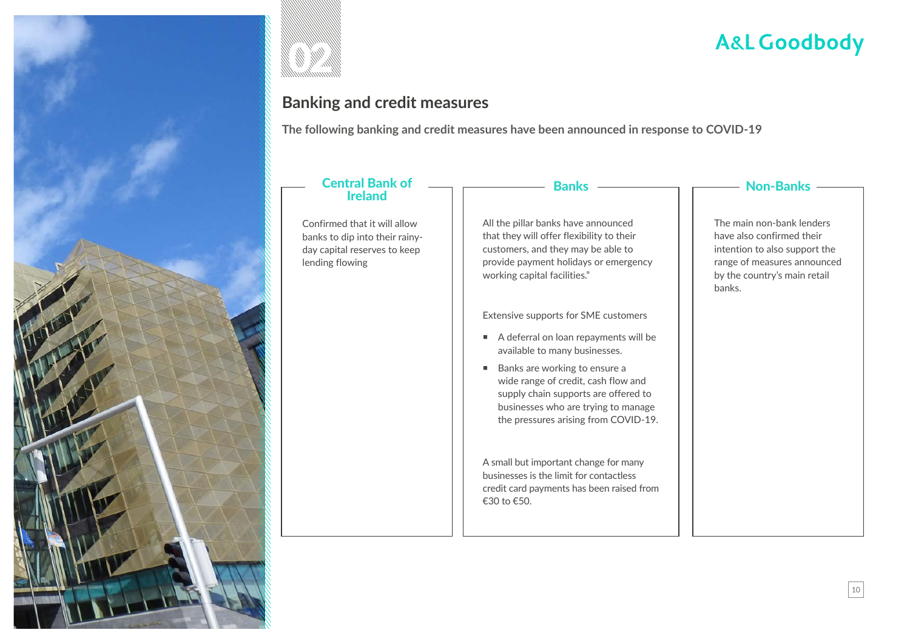



### **Banking and credit measures**

**The following banking and credit measures have been announced in response to COVID-19**

#### Central Bank of Ireland

Confirmed that it will allow banks to dip into their rainyday capital reserves to keep lending flowing

#### Banks

All the pillar banks have announced that they will offer flexibility to their customers, and they may be able to provide payment holidays or emergency working capital facilities."

Extensive supports for SME customers

- A deferral on loan repayments will be available to many businesses.
- Banks are working to ensure a wide range of credit, cash flow and supply chain supports are offered to businesses who are trying to manage the pressures arising from COVID-19.

A small but important change for many businesses is the limit for contactless credit card payments has been raised from €30 to €50.

#### - Non-Banks -

The main non-bank lenders have also confirmed their intention to also support the range of measures announced by the country's main retail banks.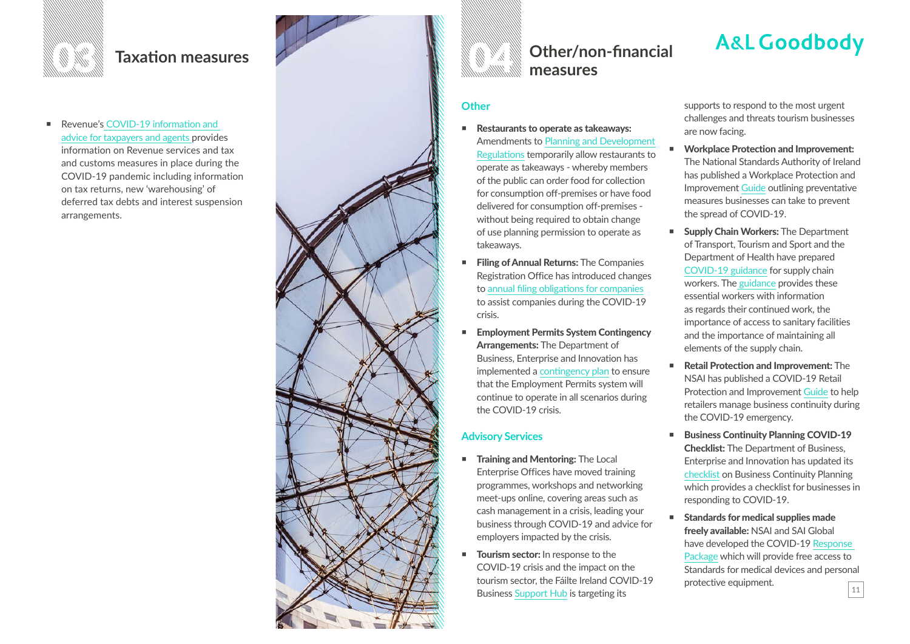

■ Revenue's COVID-19 information and [advice for taxpayers and agents](https://www.revenue.ie/en/corporate/communications/covid19/index.aspx) provides information on Revenue services and tax and customs measures in place during the COVID-19 pandemic including information on tax returns, new 'warehousing' of deferred tax debts and interest suspension arrangements.





#### **Other**

- Restaurants to operate as takeaways: [Amendments to Planning and Development](https://www.housing.gov.ie/planning/covid-19-coronavirus/clarification-operation-planning-system-during-current-covid-19)  [Regulations](https://www.housing.gov.ie/planning/covid-19-coronavirus/clarification-operation-planning-system-during-current-covid-19) temporarily allow restaurants to operate as takeaways - whereby members of the public can order food for collection for consumption off-premises or have food delivered for consumption off-premises without being required to obtain change of use planning permission to operate as takeaways.
- Filing of Annual Returns: The Companies Registration Office has introduced changes to [annual filing obligations for companies](https://dbei.gov.ie/en/News-And-Events/Department-News/2020/March/19032020.html) to assist companies during the COVID-19 crisis.
- Employment Permits System Contingency Arrangements: The Department of Business, Enterprise and Innovation has implemented a [contingency plan](https://dbei.gov.ie/en/Publications/COVID-19-Employment-Permits-System-Contingency-Arrangements.html) to ensure that the Employment Permits system will continue to operate in all scenarios during the COVID-19 crisis.

#### **Advisory Services**

- **Training and Mentoring: The Local** Enterprise Offices have moved training programmes, workshops and networking meet-ups online, covering areas such as cash management in a crisis, leading your business through COVID-19 and advice for employers impacted by the crisis.
- **Tourism sector:** In response to the COVID-19 crisis and the impact on the tourism sector, the [Fáilte Ireland COVID-19](https://www.failteireland.ie/Supports/Managing-Business-in-Unprecedented-Times)  [Business Support Hub](https://www.failteireland.ie/Supports/Managing-Business-in-Unprecedented-Times) is targeting its

**A&L Goodbody** 

supports to respond to the most urgent challenges and threats tourism businesses are now facing.

- Workplace Protection and Improvement: The National Standards Authority of Ireland has published a [Workplace Protection and](https://www.nsai.ie/covid-19workplaceprotection/)  [Improvement](https://www.nsai.ie/covid-19workplaceprotection/) Guide outlining preventative measures businesses can take to prevent the spread of COVID-19.
- Supply Chain Workers: The Department of Transport, Tourism and Sport and the Department of Health have prepared [COVID-19 guidance](https://www.gov.ie/en/publication/ed29dc-irelands-response-to-covid-19-transport-measures/#guidance-for-supply-chain-workers) for supply chain workers. The [guidance](https://dbei.gov.ie/en/Publications/Business-Continuity-Planning-A-checklist-of-Preparatory-Actions-in-Responding-to-the-COVID-19-Outbreak.html) provides these essential workers with information as regards their continued work, the importance of access to sanitary facilities and the importance of maintaining all elements of the supply chain.
- Retail Protection and Improvement: The NSAI has published a [COVID-19 Retail](https://www.nsai.ie/covid-19retailprotection/)  [Protection and Improvement Guide](https://www.nsai.ie/covid-19retailprotection/) to help retailers manage business continuity during the COVID-19 emergency.
- Business Continuity Planning COVID-19 Checklist: The Department of Business, Enterprise and Innovation has updated its [checklist on Business Continuity Planning](https://dbei.gov.ie/en/Publications/Business-Continuity-Planning-A-checklist-of-Preparatory-Actions-in-Responding-to-the-COVID-19-Outbreak.html)  [which provides a checklist for businesses in](https://dbei.gov.ie/en/Publications/Business-Continuity-Planning-A-checklist-of-Preparatory-Actions-in-Responding-to-the-COVID-19-Outbreak.html)  [responding to COVID-19.](https://dbei.gov.ie/en/Publications/Business-Continuity-Planning-A-checklist-of-Preparatory-Actions-in-Responding-to-the-COVID-19-Outbreak.html)
- 11 ■ Standards for medical supplies made freely available: NSAI and SAI Global have developed the COVID-19 [Response](https://www.nsai.ie/about/news/eu-standards-for-medical-supplies-made-freely-available/)  [Package](https://www.nsai.ie/about/news/eu-standards-for-medical-supplies-made-freely-available/) which will provide [free access to](https://www.nsai.ie/about/news/eu-standards-for-medical-supplies-made-freely-available/)  [Standards for medical devices and personal](https://www.nsai.ie/about/news/eu-standards-for-medical-supplies-made-freely-available/)  [protective equipment](https://www.nsai.ie/about/news/eu-standards-for-medical-supplies-made-freely-available/).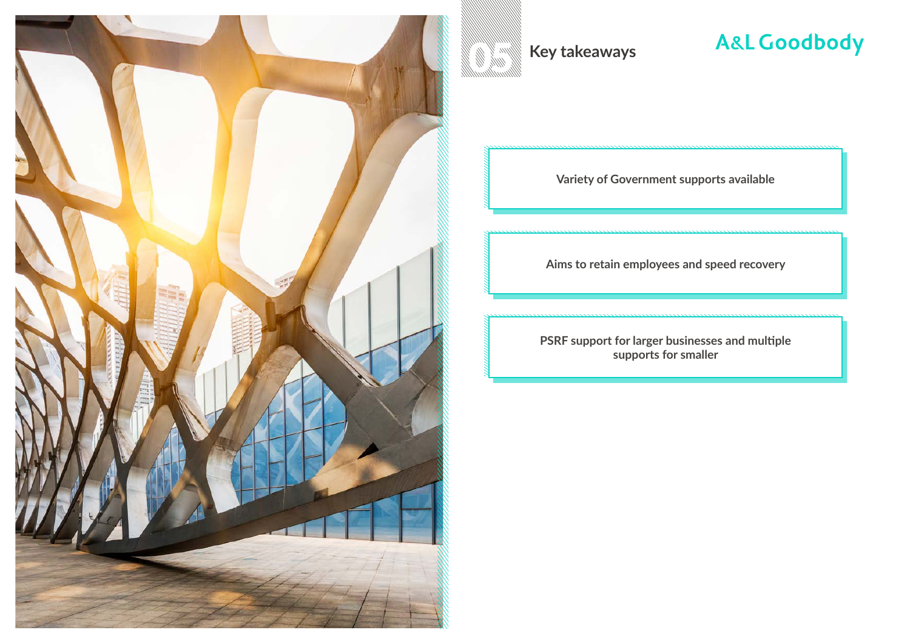

**Key takeaways** 

### **A&L Goodbody**

**Variety of Government supports available**

**Aims to retain employees and speed recovery**

**PSRF support for larger businesses and multiple supports for smaller**